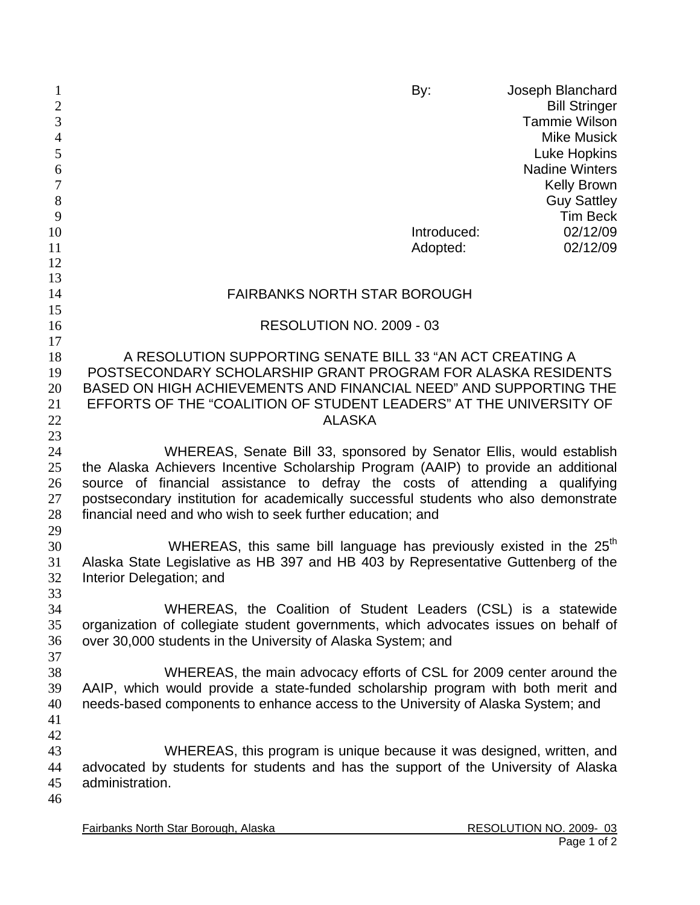| 1<br>$\mathbf{2}$<br>3 |                                                                                                               | By:         | Joseph Blanchard<br><b>Bill Stringer</b><br><b>Tammie Wilson</b> |
|------------------------|---------------------------------------------------------------------------------------------------------------|-------------|------------------------------------------------------------------|
| $\overline{4}$         |                                                                                                               |             | <b>Mike Musick</b>                                               |
| 5                      |                                                                                                               |             | <b>Luke Hopkins</b>                                              |
| 6                      |                                                                                                               |             | <b>Nadine Winters</b>                                            |
| $\overline{7}$         |                                                                                                               |             | <b>Kelly Brown</b>                                               |
| $\,8\,$                |                                                                                                               |             | <b>Guy Sattley</b>                                               |
| 9                      |                                                                                                               |             | <b>Tim Beck</b>                                                  |
| 10                     |                                                                                                               | Introduced: | 02/12/09                                                         |
| 11                     |                                                                                                               | Adopted:    | 02/12/09                                                         |
| 12                     |                                                                                                               |             |                                                                  |
| 13                     |                                                                                                               |             |                                                                  |
| 14<br>15               | <b>FAIRBANKS NORTH STAR BOROUGH</b>                                                                           |             |                                                                  |
| 16                     | RESOLUTION NO. 2009 - 03                                                                                      |             |                                                                  |
| 17                     |                                                                                                               |             |                                                                  |
| 18                     | A RESOLUTION SUPPORTING SENATE BILL 33 "AN ACT CREATING A                                                     |             |                                                                  |
| 19                     | POSTSECONDARY SCHOLARSHIP GRANT PROGRAM FOR ALASKA RESIDENTS                                                  |             |                                                                  |
| 20                     | BASED ON HIGH ACHIEVEMENTS AND FINANCIAL NEED" AND SUPPORTING THE                                             |             |                                                                  |
| 21                     | EFFORTS OF THE "COALITION OF STUDENT LEADERS" AT THE UNIVERSITY OF                                            |             |                                                                  |
| 22                     | <b>ALASKA</b>                                                                                                 |             |                                                                  |
| 23                     |                                                                                                               |             |                                                                  |
| 24                     | WHEREAS, Senate Bill 33, sponsored by Senator Ellis, would establish                                          |             |                                                                  |
| 25                     | the Alaska Achievers Incentive Scholarship Program (AAIP) to provide an additional                            |             |                                                                  |
| 26                     | source of financial assistance to defray the costs of attending a qualifying                                  |             |                                                                  |
| 27                     | postsecondary institution for academically successful students who also demonstrate                           |             |                                                                  |
| 28                     | financial need and who wish to seek further education; and                                                    |             |                                                                  |
| 29                     | WHEREAS, this same bill language has previously existed in the 25 <sup>th</sup>                               |             |                                                                  |
| 30<br>31               |                                                                                                               |             |                                                                  |
| 32                     | Alaska State Legislative as HB 397 and HB 403 by Representative Guttenberg of the<br>Interior Delegation; and |             |                                                                  |
| 33                     |                                                                                                               |             |                                                                  |
| 34                     | WHEREAS, the Coalition of Student Leaders (CSL) is a statewide                                                |             |                                                                  |
| 35                     | organization of collegiate student governments, which advocates issues on behalf of                           |             |                                                                  |
| 36                     | over 30,000 students in the University of Alaska System; and                                                  |             |                                                                  |
| 37                     |                                                                                                               |             |                                                                  |
| 38                     | WHEREAS, the main advocacy efforts of CSL for 2009 center around the                                          |             |                                                                  |
| 39                     | AAIP, which would provide a state-funded scholarship program with both merit and                              |             |                                                                  |
| 40                     | needs-based components to enhance access to the University of Alaska System; and                              |             |                                                                  |
| 41                     |                                                                                                               |             |                                                                  |
| 42                     |                                                                                                               |             |                                                                  |
| 43                     | WHEREAS, this program is unique because it was designed, written, and                                         |             |                                                                  |
| 44                     | advocated by students for students and has the support of the University of Alaska                            |             |                                                                  |
| 45<br>46               | administration.                                                                                               |             |                                                                  |
|                        |                                                                                                               |             |                                                                  |